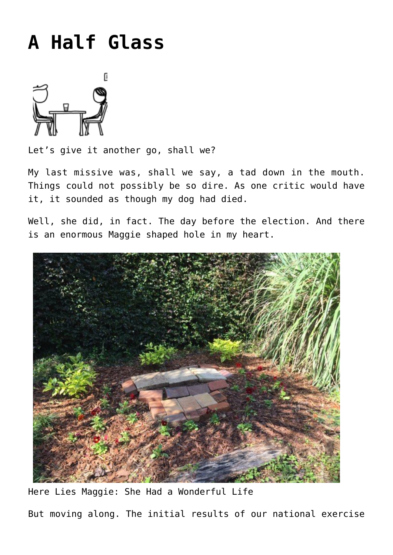## **[A Half Glass](http://www.immunetoboredom.com/a-half-glass/)**



Let's give it another go, shall we?

[My last missive](http://www.immunetoboredom.com/letter-from-tallahassee-election-day-hangover/) was, shall we say, a tad down in the mouth. Things could not possibly be so dire. As one critic would have it, it sounded as though my dog had died.

Well, she did, in fact. The day before the election. And there is an enormous Maggie shaped hole in my heart.



Here Lies Maggie: She Had a Wonderful Life But moving along. The initial results of our national exercise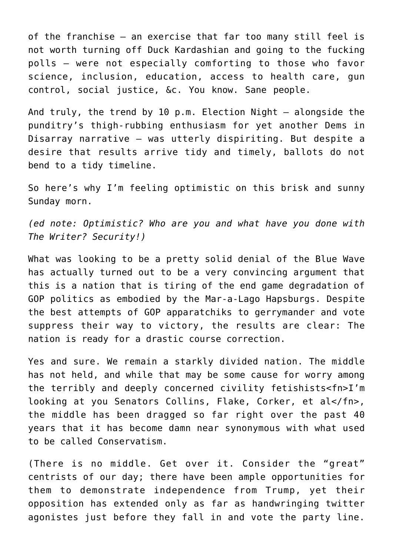of the franchise – an exercise that far too many still feel is not worth turning off Duck Kardashian and going to the fucking polls – were not especially comforting to those who favor science, inclusion, education, access to health care, gun control, social justice, &c. You know. Sane people.

And truly, the trend by 10 p.m. Election Night – alongside the punditry's thigh-rubbing enthusiasm for yet another Dems in Disarray narrative – was utterly dispiriting. But despite a desire that results arrive tidy and timely, ballots do not bend to a tidy timeline.

So here's why I'm feeling optimistic on this brisk and sunny Sunday morn.

*(ed note: Optimistic? Who are you and what have you done with The Writer? Security!)*

What was looking to be a pretty solid denial of the Blue Wave has actually turned out to be a very convincing argument that this is a nation that is tiring of the end game degradation of GOP politics as embodied by the Mar-a-Lago Hapsburgs. Despite the best attempts of GOP apparatchiks to gerrymander and vote suppress their way to victory, the results are clear: The nation is ready for a drastic course correction.

Yes and sure. We remain a starkly divided nation. The middle has not held, and while that may be some cause for worry among the terribly and deeply concerned civility fetishists<fn>I'm looking at you Senators Collins, Flake, Corker, et al</fn>, the middle has been dragged so far right over the past 40 years that it has become damn near synonymous with what used to be called Conservatism.

(There is no middle. Get over it. Consider the "great" centrists of our day; there have been ample opportunities for them to demonstrate independence from Trump, yet their opposition has extended only as far as handwringing twitter agonistes just before they fall in and vote the party line.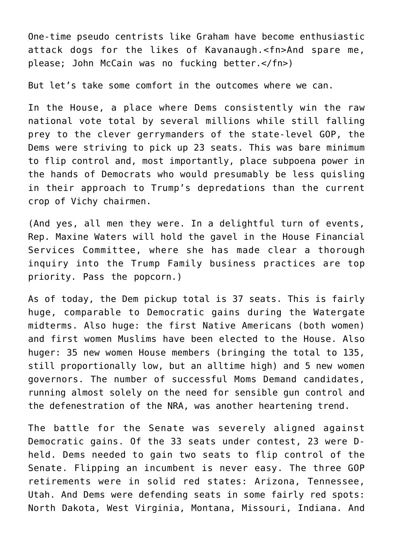One-time pseudo centrists like Graham have become enthusiastic attack dogs for the likes of Kavanaugh.<fn>And spare me, please; John McCain was no fucking better.</fn>)

But let's take some comfort in the outcomes where we can.

In the House, a place where Dems consistently win the raw national vote total by several millions while still falling prey to the clever gerrymanders of the state-level GOP, the Dems were striving to pick up 23 seats. This was bare minimum to flip control and, most importantly, place subpoena power in the hands of Democrats who would presumably be less quisling in their approach to Trump's depredations than the current crop of Vichy chairmen.

(And yes, all men they were. In a delightful turn of events, Rep. Maxine Waters will hold the gavel in the House Financial Services Committee, where she has made clear a thorough inquiry into the Trump Family business practices are top priority. Pass the popcorn.)

As of today, the Dem pickup total is 37 seats. This is fairly huge, comparable to Democratic gains during the Watergate midterms. Also huge: the first Native Americans (both women) and first women Muslims have been elected to the House. Also huger: 35 new women House members (bringing the total to 135, still proportionally low, but an alltime high) and 5 new women governors. The number of successful Moms Demand candidates, running almost solely on the need for sensible gun control and the defenestration of the NRA, was another heartening trend.

The battle for the Senate was severely aligned against Democratic gains. Of the 33 seats under contest, 23 were Dheld. Dems needed to gain two seats to flip control of the Senate. Flipping an incumbent is never easy. The three GOP retirements were in solid red states: Arizona, Tennessee, Utah. And Dems were defending seats in some fairly red spots: North Dakota, West Virginia, Montana, Missouri, Indiana. And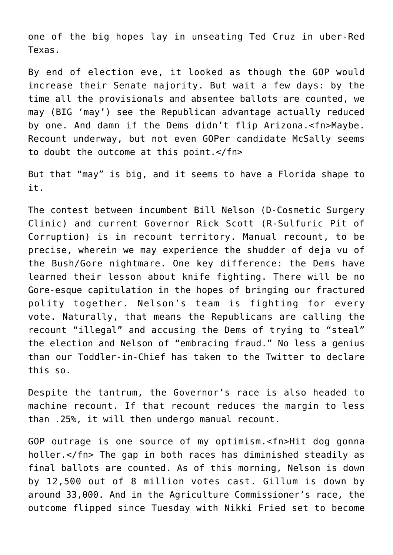one of the big hopes lay in unseating Ted Cruz in uber-Red Texas.

By end of election eve, it looked as though the GOP would increase their Senate majority. But wait a few days: by the time all the provisionals and absentee ballots are counted, we may (BIG 'may') see the Republican advantage actually reduced by one. And damn if the Dems didn't flip Arizona.<fn>Maybe. Recount underway, but not even GOPer candidate McSally seems to doubt the outcome at this point.</fn>

But that "may" is big, and it seems to have a Florida shape to it.

The contest between incumbent Bill Nelson (D-Cosmetic Surgery Clinic) and current Governor Rick Scott (R-Sulfuric Pit of Corruption) is in recount territory. Manual recount, to be precise, wherein we may experience the shudder of deja vu of the Bush/Gore nightmare. One key difference: the Dems have learned their lesson about knife fighting. There will be no Gore-esque capitulation in the hopes of bringing our fractured polity together. Nelson's team is fighting for every vote. Naturally, that means the Republicans are calling the recount "illegal" and accusing the Dems of trying to "steal" the election and Nelson of "embracing fraud." No less a genius than our Toddler-in-Chief has taken to the Twitter to declare this so.

Despite the tantrum, the Governor's race is also headed to machine recount. If that recount reduces the margin to less than .25%, it will then undergo manual recount.

GOP outrage is one source of my optimism.<fn>Hit dog gonna holler.</fn> The gap in both races has diminished steadily as final ballots are counted. As of this morning, Nelson is down by 12,500 out of 8 million votes cast. Gillum is down by around 33,000. And in the Agriculture Commissioner's race, the outcome flipped since Tuesday with Nikki Fried set to become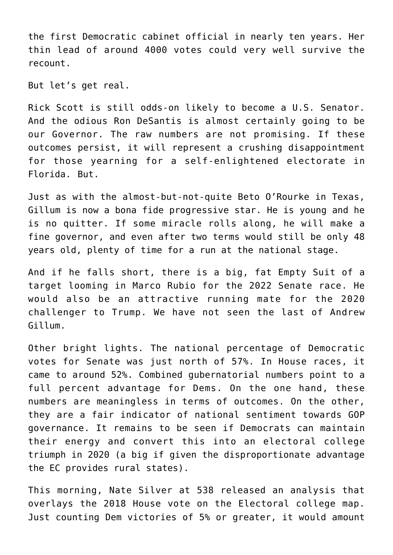the first Democratic cabinet official in nearly ten years. Her thin lead of around 4000 votes could very well survive the recount.

But let's get real.

Rick Scott is still odds-on likely to become a U.S. Senator. And the odious Ron DeSantis is almost certainly going to be our Governor. The raw numbers are not promising. If these outcomes persist, it will represent a crushing disappointment for those yearning for a self-enlightened electorate in Florida. But.

Just as with the almost-but-not-quite Beto O'Rourke in Texas, Gillum is now a bona fide progressive star. He is young and he is no quitter. If some miracle rolls along, he will make a fine governor, and even after two terms would still be only 48 years old, plenty of time for a run at the national stage.

And if he falls short, there is a big, fat Empty Suit of a target looming in Marco Rubio for the 2022 Senate race. He would also be an attractive running mate for the 2020 challenger to Trump. We have not seen the last of Andrew Gillum.

Other bright lights. The national percentage of Democratic votes for Senate was just north of 57%. In House races, it came to around 52%. Combined gubernatorial numbers point to a full percent advantage for Dems. On the one hand, these numbers are meaningless in terms of outcomes. On the other, they are a fair indicator of national sentiment towards GOP governance. It remains to be seen if Democrats can maintain their energy and convert this into an electoral college triumph in 2020 (a big if given the disproportionate advantage the EC provides rural states).

This morning, Nate Silver at 538 released an analysis that overlays the 2018 House vote on the Electoral college map. Just counting Dem victories of 5% or greater, it would amount